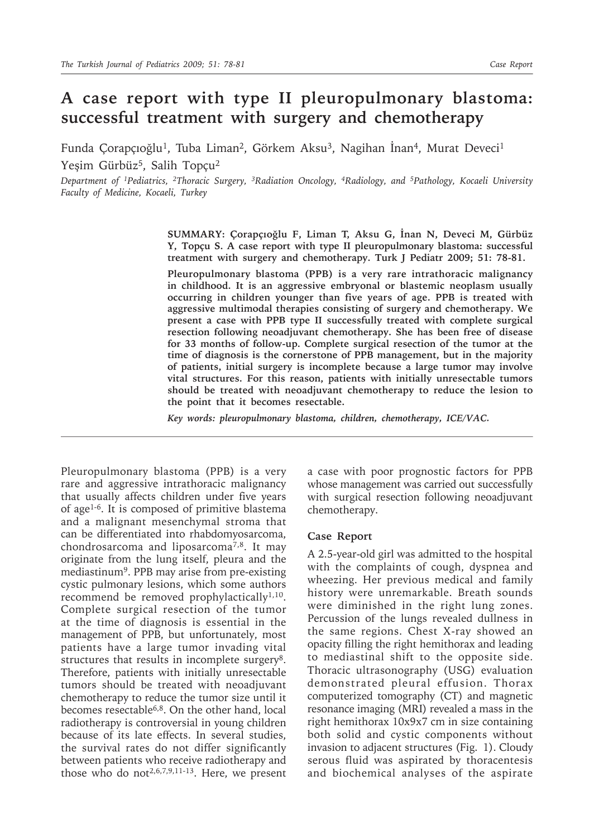## **A case report with type II pleuropulmonary blastoma: successful treatment with surgery and chemotherapy**

Funda Çorapçıoğlu<sup>1</sup>, Tuba Liman<sup>2</sup>, Görkem Aksu<sup>3</sup>, Nagihan İnan<sup>4</sup>, Murat Deveci<sup>1</sup> Yeşim Gürbüz<sup>5</sup>, Salih Topçu<sup>2</sup>

*Department of 1Pediatrics, 2Thoracic Surgery, 3Radiation Oncology, 4Radiology, and 5Pathology, Kocaeli University Faculty of Medicine, Kocaeli, Turkey*

> **SUMMARY: Çorapçıoğlu F, Liman T, Aksu G, İnan N, Deveci M, Gürbüz Y, Topçu S. A case report with type II pleuropulmonary blastoma: successful treatment with surgery and chemotherapy. Turk J Pediatr 2009; 51: 78-81.**

> **Pleuropulmonary blastoma (PPB) is a very rare intrathoracic malignancy in childhood. It is an aggressive embryonal or blastemic neoplasm usually occurring in children younger than five years of age. PPB is treated with aggressive multimodal therapies consisting of surgery and chemotherapy. We present a case with PPB type II successfully treated with complete surgical resection following neoadjuvant chemotherapy. She has been free of disease for 33 months of follow-up. Complete surgical resection of the tumor at the time of diagnosis is the cornerstone of PPB management, but in the majority of patients, initial surgery is incomplete because a large tumor may involve vital structures. For this reason, patients with initially unresectable tumors should be treated with neoadjuvant chemotherapy to reduce the lesion to the point that it becomes resectable.**

*Key words: pleuropulmonary blastoma, children, chemotherapy, ICE/VAC.*

Pleuropulmonary blastoma (PPB) is a very rare and aggressive intrathoracic malignancy that usually affects children under five years of age1-6. It is composed of primitive blastema and a malignant mesenchymal stroma that can be differentiated into rhabdomyosarcoma, chondrosarcoma and liposarcoma7,8. It may originate from the lung itself, pleura and the mediastinum9. PPB may arise from pre-existing cystic pulmonary lesions, which some authors recommend be removed prophylactically<sup>1,10</sup>. Complete surgical resection of the tumor at the time of diagnosis is essential in the management of PPB, but unfortunately, most patients have a large tumor invading vital structures that results in incomplete surgery<sup>8</sup>. Therefore, patients with initially unresectable tumors should be treated with neoadjuvant chemotherapy to reduce the tumor size until it becomes resectable6,8. On the other hand, local radiotherapy is controversial in young children because of its late effects. In several studies, the survival rates do not differ significantly between patients who receive radiotherapy and those who do not<sup>2,6,7,9,11-13</sup>. Here, we present

a case with poor prognostic factors for PPB whose management was carried out successfully with surgical resection following neoadjuvant chemotherapy.

## **Case Report**

A 2.5-year-old girl was admitted to the hospital with the complaints of cough, dyspnea and wheezing. Her previous medical and family history were unremarkable. Breath sounds were diminished in the right lung zones. Percussion of the lungs revealed dullness in the same regions. Chest X-ray showed an opacity filling the right hemithorax and leading to mediastinal shift to the opposite side. Thoracic ultrasonography (USG) evaluation demonstrated pleural effusion. Thorax computerized tomography (CT) and magnetic resonance imaging (MRI) revealed a mass in the right hemithorax 10x9x7 cm in size containing both solid and cystic components without invasion to adjacent structures (Fig. 1). Cloudy serous fluid was aspirated by thoracentesis and biochemical analyses of the aspirate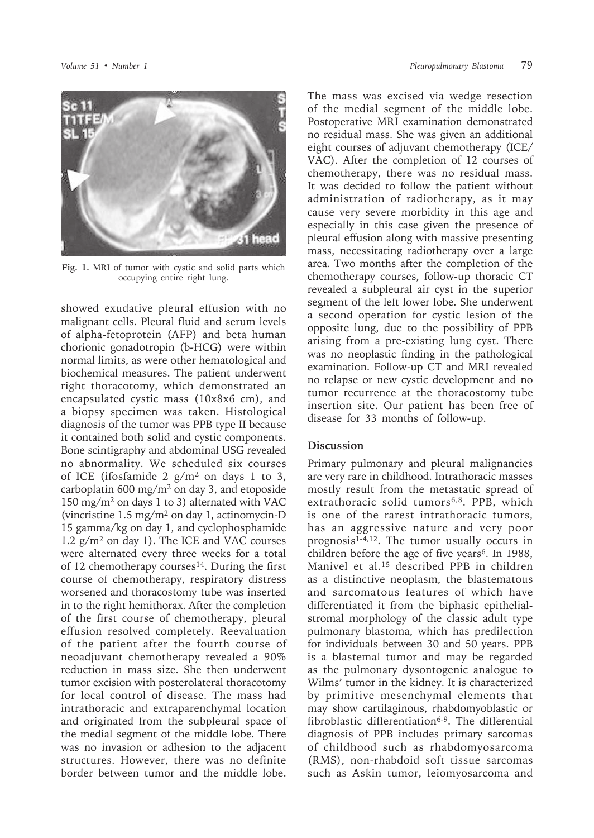

**Fig. 1.** MRI of tumor with cystic and solid parts which occupying entire right lung.

showed exudative pleural effusion with no malignant cells. Pleural fluid and serum levels of alpha-fetoprotein (AFP) and beta human chorionic gonadotropin (b-HCG) were within normal limits, as were other hematological and biochemical measures. The patient underwent right thoracotomy, which demonstrated an encapsulated cystic mass (10x8x6 cm), and a biopsy specimen was taken. Histological diagnosis of the tumor was PPB type II because it contained both solid and cystic components. Bone scintigraphy and abdominal USG revealed no abnormality. We scheduled six courses of ICE (ifosfamide 2  $g/m^2$  on days 1 to 3, carboplatin 600 mg/m<sup>2</sup> on day 3, and etoposide 150 mg/m2 on days 1 to 3) alternated with VAC (vincristine 1.5 mg/m2 on day 1, actinomycin-D 15 gamma/kg on day 1, and cyclophosphamide  $1.2$  g/m<sup>2</sup> on day 1). The ICE and VAC courses were alternated every three weeks for a total of 12 chemotherapy courses<sup>14</sup>. During the first course of chemotherapy, respiratory distress worsened and thoracostomy tube was inserted in to the right hemithorax. After the completion of the first course of chemotherapy, pleural effusion resolved completely. Reevaluation of the patient after the fourth course of neoadjuvant chemotherapy revealed a 90% reduction in mass size. She then underwent tumor excision with posterolateral thoracotomy for local control of disease. The mass had intrathoracic and extraparenchymal location and originated from the subpleural space of the medial segment of the middle lobe. There was no invasion or adhesion to the adjacent structures. However, there was no definite border between tumor and the middle lobe.

The mass was excised via wedge resection of the medial segment of the middle lobe. Postoperative MRI examination demonstrated no residual mass. She was given an additional eight courses of adjuvant chemotherapy (ICE/ VAC). After the completion of 12 courses of chemotherapy, there was no residual mass. It was decided to follow the patient without administration of radiotherapy, as it may cause very severe morbidity in this age and especially in this case given the presence of pleural effusion along with massive presenting mass, necessitating radiotherapy over a large area. Two months after the completion of the chemotherapy courses, follow-up thoracic CT revealed a subpleural air cyst in the superior segment of the left lower lobe. She underwent a second operation for cystic lesion of the opposite lung, due to the possibility of PPB arising from a pre-existing lung cyst. There was no neoplastic finding in the pathological examination. Follow-up CT and MRI revealed no relapse or new cystic development and no tumor recurrence at the thoracostomy tube insertion site. Our patient has been free of disease for 33 months of follow-up.

## **Discussion**

Primary pulmonary and pleural malignancies are very rare in childhood. Intrathoracic masses mostly result from the metastatic spread of extrathoracic solid tumors<sup>6,8</sup>. PPB, which is one of the rarest intrathoracic tumors, has an aggressive nature and very poor prognosis<sup> $1-4,12$ </sup>. The tumor usually occurs in children before the age of five years<sup>6</sup>. In 1988, Manivel et al.15 described PPB in children as a distinctive neoplasm, the blastematous and sarcomatous features of which have differentiated it from the biphasic epithelialstromal morphology of the classic adult type pulmonary blastoma, which has predilection for individuals between 30 and 50 years. PPB is a blastemal tumor and may be regarded as the pulmonary dysontogenic analogue to Wilms' tumor in the kidney. It is characterized by primitive mesenchymal elements that may show cartilaginous, rhabdomyoblastic or fibroblastic differentiation<sup>6-9</sup>. The differential diagnosis of PPB includes primary sarcomas of childhood such as rhabdomyosarcoma (RMS), non-rhabdoid soft tissue sarcomas such as Askin tumor, leiomyosarcoma and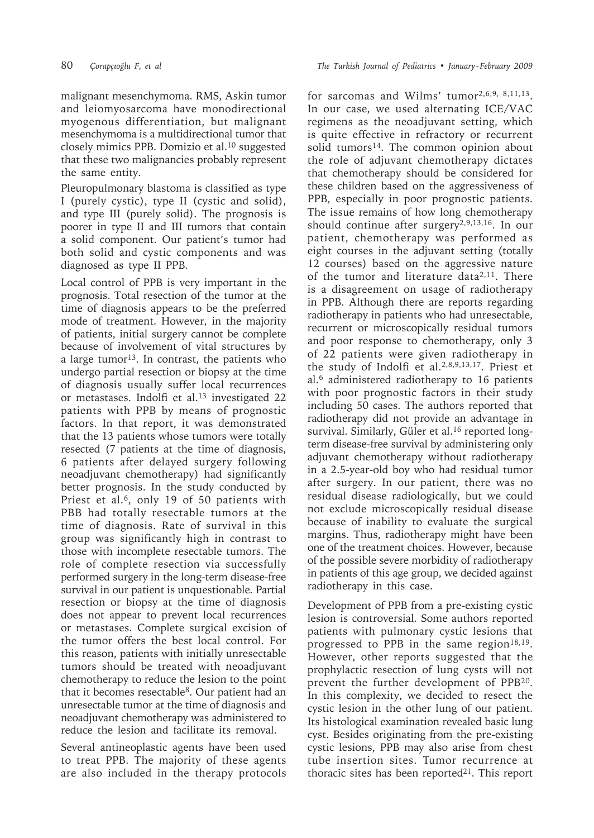malignant mesenchymoma. RMS, Askin tumor and leiomyosarcoma have monodirectional myogenous differentiation, but malignant mesenchymoma is a multidirectional tumor that closely mimics PPB. Domizio et al.10 suggested that these two malignancies probably represent the same entity.

Pleuropulmonary blastoma is classified as type I (purely cystic), type II (cystic and solid), and type III (purely solid). The prognosis is poorer in type II and III tumors that contain a solid component. Our patient's tumor had both solid and cystic components and was diagnosed as type II PPB.

Local control of PPB is very important in the prognosis. Total resection of the tumor at the time of diagnosis appears to be the preferred mode of treatment. However, in the majority of patients, initial surgery cannot be complete because of involvement of vital structures by a large tumor<sup>13</sup>. In contrast, the patients who undergo partial resection or biopsy at the time of diagnosis usually suffer local recurrences or metastases. Indolfi et al.<sup>13</sup> investigated 22 patients with PPB by means of prognostic factors. In that report, it was demonstrated that the 13 patients whose tumors were totally resected (7 patients at the time of diagnosis, 6 patients after delayed surgery following neoadjuvant chemotherapy) had significantly better prognosis. In the study conducted by Priest et al.<sup>6</sup>, only 19 of 50 patients with PBB had totally resectable tumors at the time of diagnosis. Rate of survival in this group was significantly high in contrast to those with incomplete resectable tumors. The role of complete resection via successfully performed surgery in the long-term disease-free survival in our patient is unquestionable. Partial resection or biopsy at the time of diagnosis does not appear to prevent local recurrences or metastases. Complete surgical excision of the tumor offers the best local control. For this reason, patients with initially unresectable tumors should be treated with neoadjuvant chemotherapy to reduce the lesion to the point that it becomes resectable8. Our patient had an unresectable tumor at the time of diagnosis and neoadjuvant chemotherapy was administered to reduce the lesion and facilitate its removal.

Several antineoplastic agents have been used to treat PPB. The majority of these agents are also included in the therapy protocols

for sarcomas and Wilms' tumor<sup>2,6,9, 8,11,13</sup>. In our case, we used alternating ICE/VAC regimens as the neoadjuvant setting, which is quite effective in refractory or recurrent solid tumors<sup>14</sup>. The common opinion about the role of adjuvant chemotherapy dictates that chemotherapy should be considered for these children based on the aggressiveness of PPB, especially in poor prognostic patients. The issue remains of how long chemotherapy should continue after surgery2,9,13,16. In our patient, chemotherapy was performed as eight courses in the adjuvant setting (totally 12 courses) based on the aggressive nature of the tumor and literature data<sup>2,11</sup>. There is a disagreement on usage of radiotherapy in PPB. Although there are reports regarding radiotherapy in patients who had unresectable, recurrent or microscopically residual tumors and poor response to chemotherapy, only 3 of 22 patients were given radiotherapy in the study of Indolfi et al.2,8,9,13,17. Priest et al.6 administered radiotherapy to 16 patients with poor prognostic factors in their study including 50 cases. The authors reported that radiotherapy did not provide an advantage in survival. Similarly, Güler et al.<sup>16</sup> reported longterm disease-free survival by administering only adjuvant chemotherapy without radiotherapy in a 2.5-year-old boy who had residual tumor after surgery. In our patient, there was no residual disease radiologically, but we could not exclude microscopically residual disease because of inability to evaluate the surgical margins. Thus, radiotherapy might have been one of the treatment choices. However, because of the possible severe morbidity of radiotherapy in patients of this age group, we decided against radiotherapy in this case.

Development of PPB from a pre-existing cystic lesion is controversial. Some authors reported patients with pulmonary cystic lesions that progressed to PPB in the same region<sup>18,19</sup>. However, other reports suggested that the prophylactic resection of lung cysts will not prevent the further development of PPB20. In this complexity, we decided to resect the cystic lesion in the other lung of our patient. Its histological examination revealed basic lung cyst. Besides originating from the pre-existing cystic lesions, PPB may also arise from chest tube insertion sites. Tumor recurrence at thoracic sites has been reported<sup>21</sup>. This report